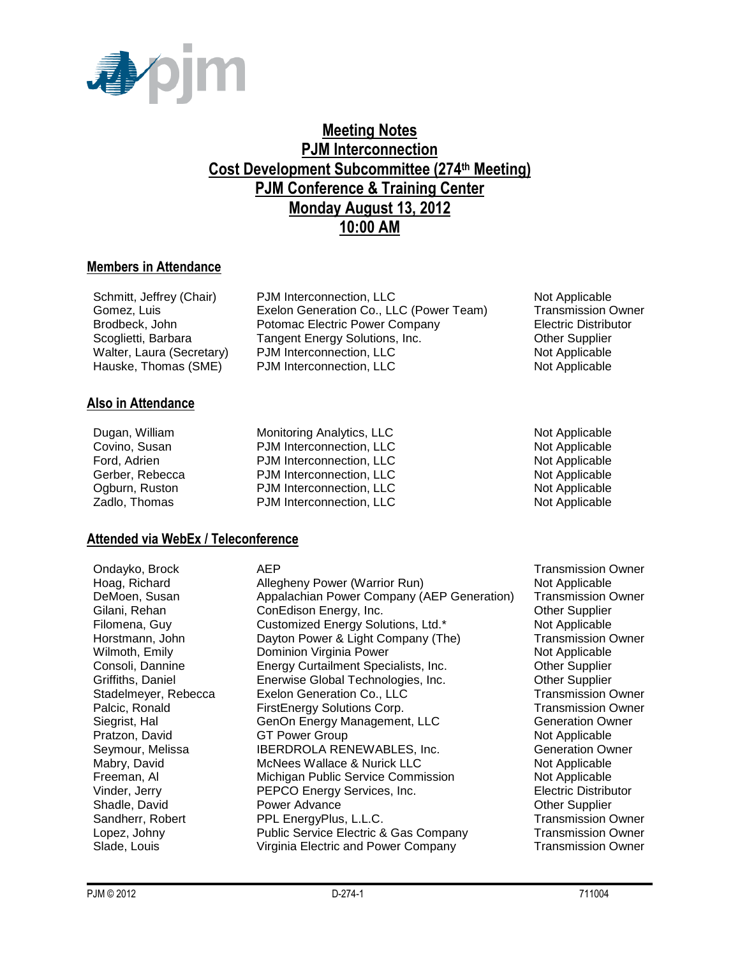

## **Meeting Notes PJM Interconnection Cost Development Subcommittee (274th Meeting) PJM Conference & Training Center Monday August 13, 2012 10:00 AM**

#### **Members in Attendance**

| Schmitt, Jeffrey (Chair)  | PJM Interconnection, LLC                | Not Applicable              |
|---------------------------|-----------------------------------------|-----------------------------|
| Gomez, Luis               | Exelon Generation Co., LLC (Power Team) | <b>Transmission Owner</b>   |
| Brodbeck, John            | Potomac Electric Power Company          | <b>Electric Distributor</b> |
| Scoglietti, Barbara       | Tangent Energy Solutions, Inc.          | <b>Other Supplier</b>       |
| Walter, Laura (Secretary) | PJM Interconnection, LLC                | Not Applicable              |
| Hauske, Thomas (SME)      | PJM Interconnection, LLC                | Not Applicable              |

#### **Also in Attendance**

| Dugan, William  |
|-----------------|
| Covino, Susan   |
| Ford, Adrien    |
| Gerber, Rebecca |
| Ogburn, Ruston  |
| Zadlo. Thomas   |

Monitoring Analytics, LLC Not Applicable PJM Interconnection, LLC Not Applicable PJM Interconnection, LLC Not Applicable PJM Interconnection, LLC Not Applicable PJM Interconnection, LLC Not Applicable PJM Interconnection, LLC Not Applicable

#### **Attended via WebEx / Teleconference**

Ondayko, Brock **AEP** AEP Transmission Owner Hoag, Richard **Allegheny Power (Warrior Run)** Not Applicable DeMoen, Susan Appalachian Power Company (AEP Generation) Transmission Owner<br>Gilani, Rehan ConEdison Energy, Inc. Comenant Computer Gilani, Rehan ConEdison Energy, Inc. Filomena, Guy **Customized Energy Solutions, Ltd.\*** Not Applicable Horstmann, John **Dayton Power & Light Company (The)** Transmission Owner<br>
Wilmoth, Emily **Dominion Virginia Power** (The Not Applicable Dominion Virginia Power Not Applicable Consoli, Dannine Energy Curtailment Specialists, Inc. Other Supplier Griffiths, Daniel **Enerwise Global Technologies, Inc.** Cher Supplier<br>
Stadelmever, Rebecca Exelon Generation Co., LLC **Transmission Owner** Stadelmeyer, Rebecca Exelon Generation Co., LLC Palcic, Ronald **FirstEnergy Solutions Corp.** Transmission Owner Siegrist, Hal GenOn Energy Management, LLC Generation Owner Pratzon, David **GT Power Group** Communication of Applicable Seymour, Melissa **IBERDROLA RENEWABLES, Inc.** Generation Owner Mabry, David **McNees Wallace & Nurick LLC** Not Applicable Freeman, Al Michigan Public Service Commission Not Applicable Vinder, Jerry PEPCO Energy Services, Inc. Electric Distributor Shadle, David **Power Advance** Communication Charles Charles Charles Charles Charles Charles Charles Charles Charles Sandherr, Robert **PPL EnergyPlus, L.L.C.** Transmission Owner Lopez, Johny Public Service Electric & Gas Company Transmission Owner Slade, Louis **Company Slade, Louis Company Transmission Owner** Company **Transmission Owner**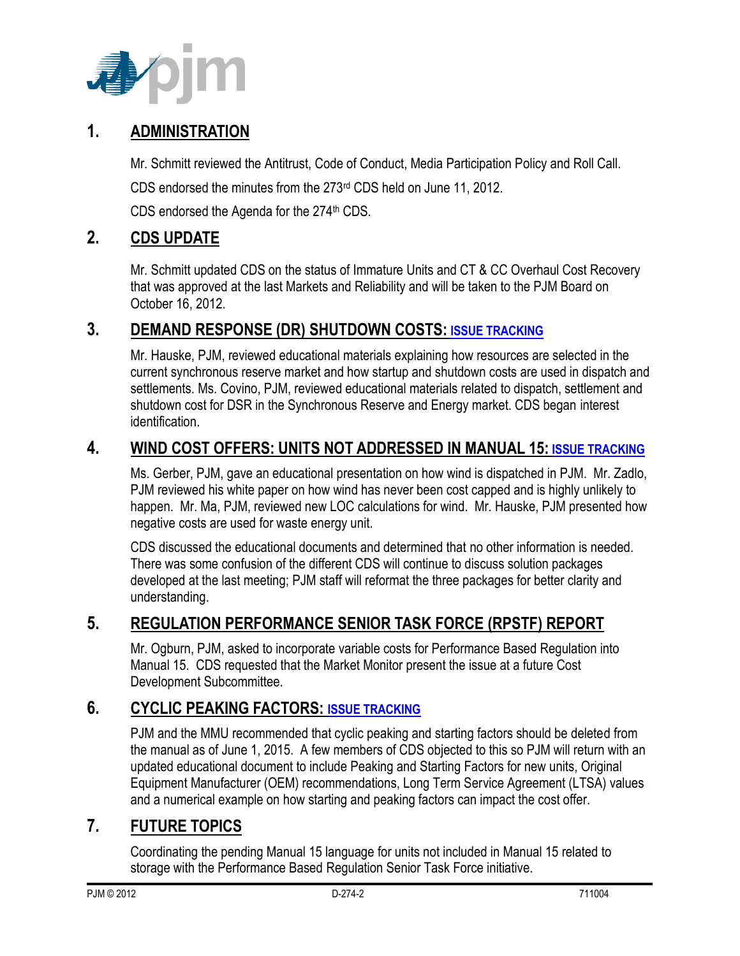

#### **1. ADMINISTRATION**

Mr. Schmitt reviewed the Antitrust, Code of Conduct, Media Participation Policy and Roll Call.

CDS endorsed the minutes from the 273rd CDS held on June 11, 2012.

CDS endorsed the Agenda for the 274<sup>th</sup> CDS.

## **2. CDS UPDATE**

Mr. Schmitt updated CDS on the status of Immature Units and CT & CC Overhaul Cost Recovery that was approved at the last Markets and Reliability and will be taken to the PJM Board on October 16, 2012.

#### **3. DEMAND RESPONSE (DR) SHUTDOWN COSTS: [ISSUE TRACKING](http://pjm.com/committees-and-groups/issue-tracking/issue-tracking-details.aspx?Issue=%7bC6D04B33-2DE0-444F-BAF8-6ADD96F053E5%7d)**

Mr. Hauske, PJM, reviewed educational materials explaining how resources are selected in the current synchronous reserve market and how startup and shutdown costs are used in dispatch and settlements. Ms. Covino, PJM, reviewed educational materials related to dispatch, settlement and shutdown cost for DSR in the Synchronous Reserve and Energy market. CDS began interest identification.

#### **4. WIND COST OFFERS: UNITS NOT ADDRESSED IN MANUAL 15: [ISSUE TRACKING](http://pjm.com/committees-and-groups/issue-tracking/issue-tracking-details.aspx?Issue=%7b3159C1F6-5498-412A-84F2-D4EA3F5834C6%7d)**

Ms. Gerber, PJM, gave an educational presentation on how wind is dispatched in PJM. Mr. Zadlo, PJM reviewed his white paper on how wind has never been cost capped and is highly unlikely to happen. Mr. Ma, PJM, reviewed new LOC calculations for wind. Mr. Hauske, PJM presented how negative costs are used for waste energy unit.

CDS discussed the educational documents and determined that no other information is needed. There was some confusion of the different CDS will continue to discuss solution packages developed at the last meeting; PJM staff will reformat the three packages for better clarity and understanding.

## **5. REGULATION PERFORMANCE SENIOR TASK FORCE (RPSTF) REPORT**

Mr. Ogburn, PJM, asked to incorporate variable costs for Performance Based Regulation into Manual 15. CDS requested that the Market Monitor present the issue at a future Cost Development Subcommittee.

# **6. CYCLIC PEAKING FACTORS: [ISSUE TRACKING](http://www.pjm.com/committees-and-groups/issue-tracking/issue-tracking-details.aspx?Issue=%7b271B9B61-2DB7-4D21-8C58-20324835B7D2%7d)**

PJM and the MMU recommended that cyclic peaking and starting factors should be deleted from the manual as of June 1, 2015. A few members of CDS objected to this so PJM will return with an updated educational document to include Peaking and Starting Factors for new units, Original Equipment Manufacturer (OEM) recommendations, Long Term Service Agreement (LTSA) values and a numerical example on how starting and peaking factors can impact the cost offer.

## **7. FUTURE TOPICS**

Coordinating the pending Manual 15 language for units not included in Manual 15 related to storage with the Performance Based Regulation Senior Task Force initiative.